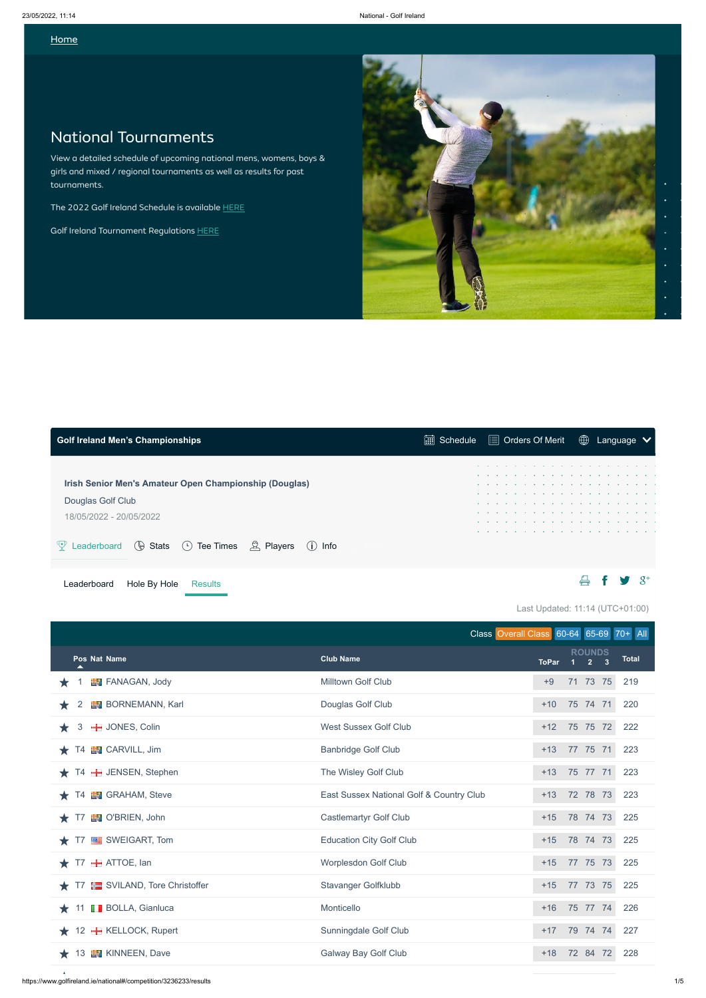#### **[Home](https://www.golfireland.ie/home)**

 $\Delta$ 

Last Updated: 11:14 (UTC+01:00)

# National Tournaments

View a detailed schedule of upcoming national mens, womens, boys & girls and mixed / regional tournaments as well as results for past tournaments.

The 2022 Golf Ireland Schedule is available [HERE](https://static.clubhouse.golfireland.ie/clubs/1000/uploads/championships/2022%20golf%20ireland%20schedule%20national%20and%20regional%20v3.pdf)

Golf Ireland Tournament Regulations [HERE](https://static.clubhouse.golfireland.ie/clubs/1000/uploads/championships/competitions%20regulations%20final%20030644.pdf)



<span id="page-0-0"></span>

| <b>Golf Ireland Men's Championships</b>                                          |  |  |  |  |  |             |  |
|----------------------------------------------------------------------------------|--|--|--|--|--|-------------|--|
| Irish Senior Men's Amateur Open Championship (Douglas)                           |  |  |  |  |  | .<br>.<br>. |  |
| Douglas Golf Club<br>18/05/2022 - 20/05/2022                                     |  |  |  |  |  | .<br>.<br>. |  |
| Leaderboard $(\theta)$ Stats $(\cdot)$ Tee Times $\beta$ , Players<br>$(i)$ Info |  |  |  |  |  | .           |  |
| Hole By Hole<br>Leaderboard<br>Results                                           |  |  |  |  |  |             |  |

|                                   | Class Overall Class 60-64 65-69 70+ All  |              |       |                              |              |
|-----------------------------------|------------------------------------------|--------------|-------|------------------------------|--------------|
| Pos Nat Name                      | <b>Club Name</b>                         | <b>ToPar</b> | $1 -$ | <b>ROUNDS</b><br>$2 \quad 3$ | <b>Total</b> |
| <b>EV</b> FANAGAN, Jody           | Milltown Golf Club                       | $+9$         |       | 71 73 75                     | 219          |
| <b>BORNEMANN, Karl</b><br>2       | Douglas Golf Club                        | $+10$        |       | 75 74 71                     | 220          |
| <b>H</b> JONES, Colin<br>3<br>★   | <b>West Sussex Golf Club</b>             | $+12$        |       | 75 75 72                     | 222          |
| <b>EN</b> CARVILL, Jim<br>T4      | <b>Banbridge Golf Club</b>               | $+13$        |       | 77 75 71                     | 223          |
| T4 - JENSEN, Stephen              | The Wisley Golf Club                     | $+13$        |       | 75 77 71                     | 223          |
| <b>EN</b> GRAHAM, Steve<br>T4     | East Sussex National Golf & Country Club | $+13$        |       | 72 78 73                     | 223          |
| <b>N</b> O'BRIEN, John<br>T7      | <b>Castlemartyr Golf Club</b>            | $+15$        |       | 78 74 73                     | 225          |
| SWEIGART, Tom<br>T7               | <b>Education City Golf Club</b>          | $+15$        |       | 78 74 73                     | 225          |
| <b>+</b> ATTOE, lan<br>T7         | <b>Worplesdon Golf Club</b>              | $+15$        |       | 77 75 73                     | 225          |
| SVILAND, Tore Christoffer<br>T7   | <b>Stavanger Golfklubb</b>               | $+15$        |       | 77 73 75                     | 225          |
| <b>BOLLA, Gianluca</b><br>11<br>* | Monticello                               | $+16$        |       | 75 77 74                     | 226          |
| 12 <b>H</b> KELLOCK, Rupert       | Sunningdale Golf Club                    | $+17$        |       | 79 74 74                     | 227          |
| <b>EN</b> KINNEEN, Dave<br>13     | <b>Galway Bay Golf Club</b>              | $+18$        |       | 72 84 72                     | 228          |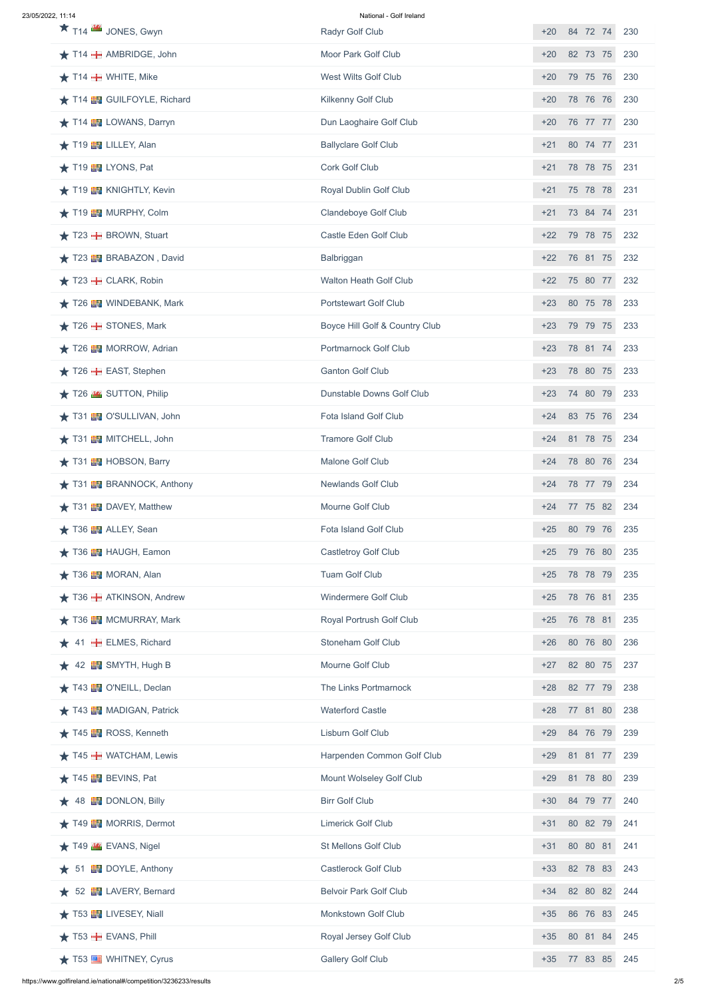| 23/05/2022. 11:14 |  |
|-------------------|--|
|                   |  |

#### National - Golf Ireland

| $\star$ T <sub>14</sub> $\mathbb{R}$ JONES, Gwyn        | <b>Radyr Golf Club</b>           | 84 72 74<br>$+20$<br>230 |
|---------------------------------------------------------|----------------------------------|--------------------------|
| $\bigstar$ T14 $\bigstar$ AMBRIDGE, John                | Moor Park Golf Club              | 82 73 75<br>$+20$<br>230 |
| $\star$ T14 $\div$ WHITE, Mike                          | <b>West Wilts Golf Club</b>      | 79 75 76<br>$+20$<br>230 |
| T14 EV GUILFOYLE, Richard                               | <b>Kilkenny Golf Club</b>        | 78 76 76<br>$+20$<br>230 |
| T14 <b>EV</b> LOWANS, Darryn                            | Dun Laoghaire Golf Club          | 76 77 77<br>230<br>$+20$ |
| T19 EV LILLEY, Alan                                     | <b>Ballyclare Golf Club</b>      | 80 74 77<br>$+21$<br>231 |
| T19 TV LYONS, Pat                                       | <b>Cork Golf Club</b>            | 78 78 75<br>231<br>$+21$ |
| T19 <b>EV</b> KNIGHTLY, Kevin                           | <b>Royal Dublin Golf Club</b>    | 75 78 78<br>$+21$<br>231 |
| T19 MURPHY, Colm                                        | <b>Clandeboye Golf Club</b>      | 73 84 74<br>231<br>$+21$ |
| $\star$ T23 $\textcolor{red}{\textbf{+}}$ BROWN, Stuart | <b>Castle Eden Golf Club</b>     | 79 78 75<br>$+22$<br>232 |
| T23 BRABAZON, David                                     | Balbriggan                       | 76 81 75<br>232<br>$+22$ |
| $\star$ T23 $\pm$ CLARK, Robin                          | <b>Walton Heath Golf Club</b>    | 75 80 77<br>$+22$<br>232 |
| T26 EV WINDEBANK, Mark                                  | <b>Portstewart Golf Club</b>     | 80 75 78<br>233<br>$+23$ |
| $\star$ T26 $\div$ STONES, Mark                         | Boyce Hill Golf & Country Club   | $+23$<br>79 79 75<br>233 |
| ★ T26 H MORROW, Adrian                                  | <b>Portmarnock Golf Club</b>     | 78 81 74<br>233<br>$+23$ |
| $\bigstar$ T26 $\bigstar$ EAST, Stephen                 | <b>Ganton Golf Club</b>          | 78 80 75<br>$+23$<br>233 |
| T26 3UTTON, Philip                                      | <b>Dunstable Downs Golf Club</b> | 74 80 79<br>$+23$<br>233 |
| ★ T31 T O'SULLIVAN, John                                | <b>Fota Island Golf Club</b>     | 83 75 76<br>$+24$<br>234 |
| ★ T31 图 MITCHELL, John                                  | <b>Tramore Golf Club</b>         | 81 78 75<br>$+24$<br>234 |
| T31 HOBSON, Barry                                       | Malone Golf Club                 | 78 80 76<br>$+24$<br>234 |
| <b>★ T31 国 BRANNOCK, Anthony</b>                        | <b>Newlands Golf Club</b>        | 78 77 79<br>$+24$<br>234 |
| $\star$ T31 <b>EV</b> DAVEY, Matthew                    | <b>Mourne Golf Club</b>          | 77 75 82<br>234<br>$+24$ |
| T36 H ALLEY, Sean                                       | <b>Fota Island Golf Club</b>     | 80 79 76<br>$+25$<br>235 |
| ★ T36 H HAUGH, Eamon                                    | <b>Castletroy Golf Club</b>      | 79 76 80<br>$+25$<br>235 |
| $\star$ T36 $\blacksquare$ MORAN, Alan                  | <b>Tuam Golf Club</b>            | 78 78 79<br>235<br>$+25$ |
| T36 H ATKINSON, Andrew                                  | <b>Windermere Golf Club</b>      | 78 76 81<br>$+25$<br>235 |
| T36 <b>EN</b> MCMURRAY, Mark                            | <b>Royal Portrush Golf Club</b>  | 76 78 81<br>235<br>$+25$ |
| 41 <b>- ELMES, Richard</b>                              | <b>Stoneham Golf Club</b>        | 80 76 80<br>236<br>$+26$ |
| 42 <b>EV</b> SMYTH, Hugh B                              | Mourne Golf Club                 | 82 80 75<br>$+27$<br>237 |
| ★ T43 MY O'NEILL, Declan                                | The Links Portmarnock            | 82 77 79<br>$+28$<br>238 |
| ★ T43 ■ MADIGAN, Patrick                                | <b>Waterford Castle</b>          | 77 81 80<br>238<br>$+28$ |
| T45 <b>N</b> ROSS, Kenneth                              | <b>Lisburn Golf Club</b>         | 84 76 79<br>$+29$<br>239 |
| $\star$ T45 $\div$ WATCHAM, Lewis                       | Harpenden Common Golf Club       | $+29$<br>81 81 77<br>239 |
| ★ T45 ■ BEVINS, Pat                                     | Mount Wolseley Golf Club         | $+29$<br>81 78 80<br>239 |
| 48 E DONLON, Billy                                      | <b>Birr Golf Club</b>            | 84 79 77<br>240<br>$+30$ |
| ★ T49 H MORRIS, Dermot                                  | <b>Limerick Golf Club</b>        | 80 82 79<br>$+31$<br>241 |
| $\star$ T49 $\cdot$ EVANS, Nigel                        | <b>St Mellons Golf Club</b>      | 80 80 81<br>241<br>$+31$ |
| <b>EN</b> DOYLE, Anthony<br>51                          | <b>Castlerock Golf Club</b>      | 82 78 83<br>$+33$<br>243 |
| 52 EU LAVERY, Bernard                                   | <b>Belvoir Park Golf Club</b>    | 82 80 82<br>244<br>$+34$ |
| $\star$ T53 EV LIVESEY, Niall                           | <b>Monkstown Golf Club</b>       | 86 76 83<br>$+35$<br>245 |
| $\star$ T53 $\textcolor{red}{\textbf{+}}$ EVANS, Phill  | Royal Jersey Golf Club           | 80 81 84<br>245<br>$+35$ |
| ★ T53 ■ WHITNEY, Cyrus                                  | <b>Gallery Golf Club</b>         | 77 83 85<br>245<br>$+35$ |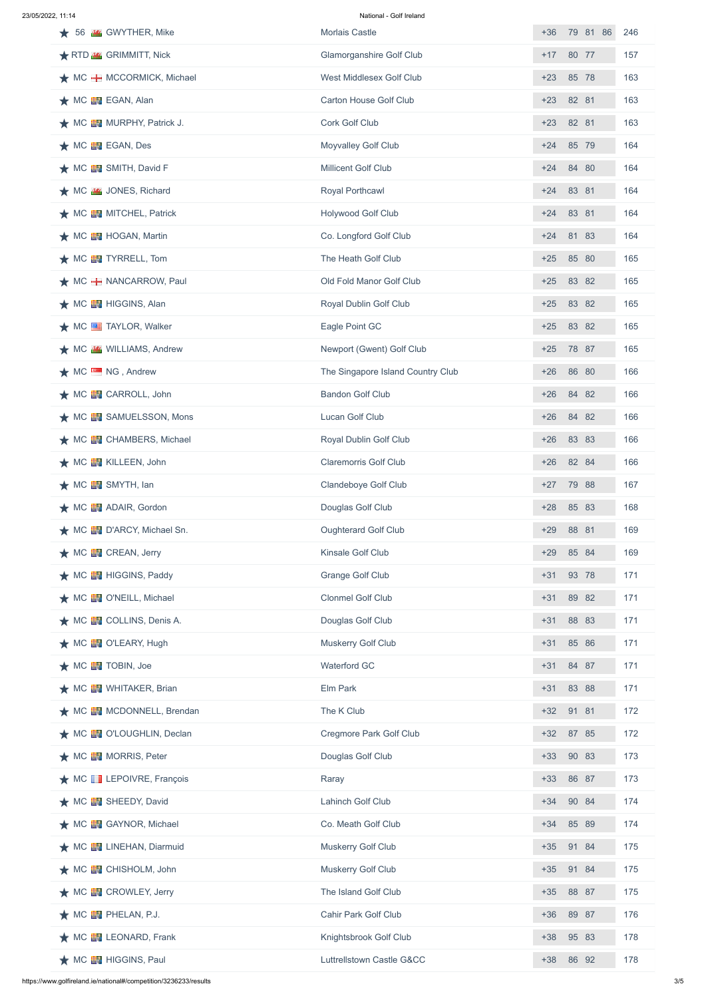23/05/2022, 11:14 National - Golf Ireland

| 56 <b>K</b> GWYTHER, Mike                   | <b>Morlais Castle</b>             | $+36$ |       | 79 81 86 | 246 |
|---------------------------------------------|-----------------------------------|-------|-------|----------|-----|
| RTD <b>K</b> GRIMMITT, Nick                 | <b>Glamorganshire Golf Club</b>   | $+17$ | 80 77 |          | 157 |
| $\bigstar$ MC $\bigstar$ MCCORMICK, Michael | West Middlesex Golf Club          | $+23$ |       | 85 78    | 163 |
| $\star$ MC $\blacksquare$ EGAN, Alan        | <b>Carton House Golf Club</b>     | $+23$ | 82 81 |          | 163 |
| ★ MC EV MURPHY, Patrick J.                  | <b>Cork Golf Club</b>             | $+23$ | 82 81 |          | 163 |
| $\bigstar$ MC $\blacksquare$ EGAN, Des      | <b>Moyvalley Golf Club</b>        | $+24$ |       | 85 79    | 164 |
| ★ MC <b>EN</b> SMITH, David F               | <b>Millicent Golf Club</b>        | $+24$ |       | 84 80    | 164 |
| ★ MC <b>MS</b> JONES, Richard               | <b>Royal Porthcawl</b>            | $+24$ | 83 81 |          | 164 |
| ★ MC <b>EV</b> MITCHEL, Patrick             | <b>Holywood Golf Club</b>         | $+24$ | 83 81 |          | 164 |
| $\bigstar$ MC $\blacksquare$ HOGAN, Martin  | Co. Longford Golf Club            | $+24$ |       | 81 83    | 164 |
| $\bigstar$ MC $\blacksquare$ TYRRELL, Tom   | The Heath Golf Club               | $+25$ | 85 80 |          | 165 |
| $\bigstar$ MC $\bigstar$ NANCARROW, Paul    | Old Fold Manor Golf Club          | $+25$ |       | 83 82    | 165 |
| ★ MC <b>EV</b> HIGGINS, Alan                | <b>Royal Dublin Golf Club</b>     | $+25$ |       | 83 82    | 165 |
| $\bigstar$ MC $\equiv$ TAYLOR, Walker       | Eagle Point GC                    | $+25$ |       | 83 82    | 165 |
| ★ MC BK WILLIAMS, Andrew                    | Newport (Gwent) Golf Club         | $+25$ | 78 87 |          | 165 |
| MC NG, Andrew                               | The Singapore Island Country Club | $+26$ | 86 80 |          | 166 |
| ★ MC ■ CARROLL, John                        | <b>Bandon Golf Club</b>           | $+26$ |       | 84 82    | 166 |
| ★ MC ■ SAMUELSSON, Mons                     | Lucan Golf Club                   | $+26$ |       | 84 82    | 166 |
| ★ MC EV CHAMBERS, Michael                   | <b>Royal Dublin Golf Club</b>     | $+26$ |       | 83 83    | 166 |
| $\bigstar$ MC $\mathbb{E}$ KILLEEN, John    | <b>Claremorris Golf Club</b>      | $+26$ |       | 82 84    | 166 |
| $\bigstar$ MC $\mathbb{E}$ SMYTH, lan       | <b>Clandeboye Golf Club</b>       | $+27$ | 79 88 |          | 167 |
| ★ MC <b>EV</b> ADAIR, Gordon                | Douglas Golf Club                 | $+28$ | 85 83 |          | 168 |
| ★ MC <b>EN</b> D'ARCY, Michael Sn.          | <b>Oughterard Golf Club</b>       | $+29$ | 88 81 |          | 169 |
| $\bigstar$ MC $\blacksquare$ CREAN, Jerry   | <b>Kinsale Golf Club</b>          | $+29$ |       | 85 84    | 169 |
| ★ MC <b>EV</b> HIGGINS, Paddy               | <b>Grange Golf Club</b>           | $+31$ |       | 93 78    | 171 |
| ★ MC BV O'NEILL, Michael                    | <b>Clonmel Golf Club</b>          | $+31$ |       | 89 82    | 171 |
| ★ MC <b>EN</b> COLLINS, Denis A.            | Douglas Golf Club                 | $+31$ |       | 88 83    | 171 |
| ★ MC BV O'LEARY, Hugh                       | <b>Muskerry Golf Club</b>         | $+31$ |       | 85 86    | 171 |
| $\star$ MC $\mathbb{E}$ TOBIN, Joe          | <b>Waterford GC</b>               | $+31$ |       | 84 87    | 171 |
| $\bigstar$ MC $\mathbb{E}$ WHITAKER, Brian  | Elm Park                          | $+31$ |       | 83 88    | 171 |
| ★ MC <b>EV</b> MCDONNELL, Brendan           | The K Club                        | $+32$ | 91 81 |          | 172 |
| ★ MC ■ O'LOUGHLIN, Declan                   | <b>Cregmore Park Golf Club</b>    | $+32$ | 87 85 |          | 172 |
| ★ MC <b>EV</b> MORRIS, Peter                | Douglas Golf Club                 | $+33$ | 90 83 |          | 173 |
| ★ MC LEPOIVRE, François                     | Raray                             | $+33$ |       | 86 87    | 173 |
| ★ MC <b>EV</b> SHEEDY, David                | <b>Lahinch Golf Club</b>          | $+34$ |       | 90 84    | 174 |
| ★ MC BU GAYNOR, Michael                     | Co. Meath Golf Club               | $+34$ |       | 85 89    | 174 |
| ★ MC EU LINEHAN, Diarmuid                   | <b>Muskerry Golf Club</b>         | $+35$ |       | 91 84    | 175 |
| ★ MC 图 CHISHOLM, John                       | <b>Muskerry Golf Club</b>         | $+35$ |       | 91 84    | 175 |
| $\star$ MC $\mathbb{H}$ CROWLEY, Jerry      | The Island Golf Club              | $+35$ | 88 87 |          | 175 |
| $\bigstar$ MC $\mathbb{E}$ PHELAN, P.J.     | <b>Cahir Park Golf Club</b>       | $+36$ | 89 87 |          | 176 |
| $\bigstar$ MC $\mathbb{E}$ LEONARD, Frank   | Knightsbrook Golf Club            | $+38$ |       | 95 83    | 178 |
| ★ MC <b>EV</b> HIGGINS, Paul                | Luttrellstown Castle G&CC         | $+38$ |       | 86 92    | 178 |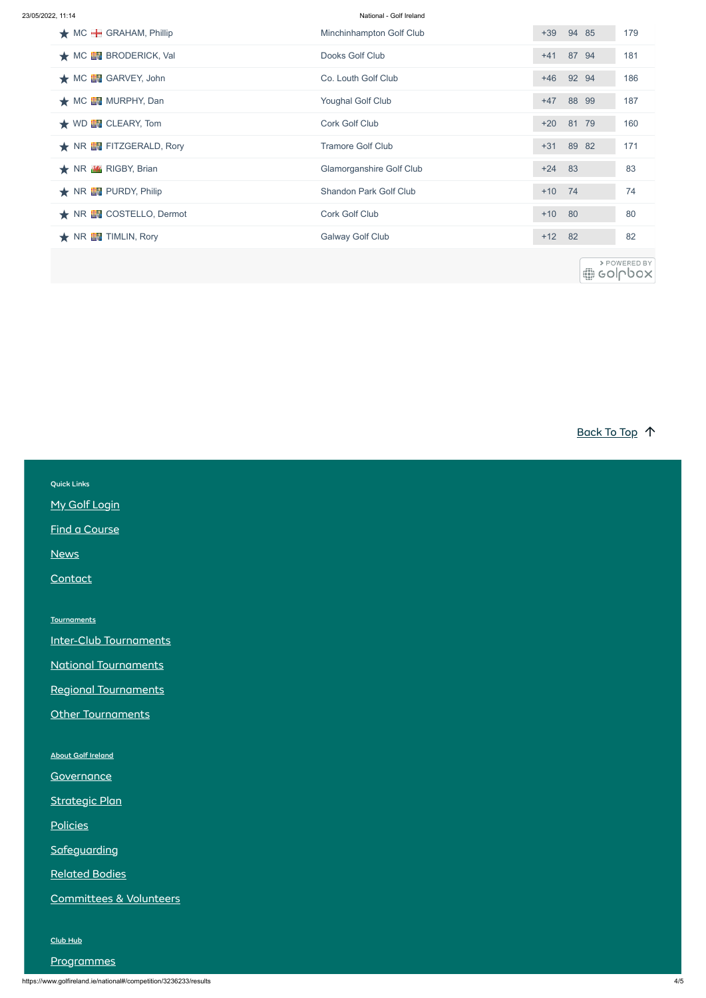| 23/05/2022. 11:14 |  |
|-------------------|--|
|                   |  |

National - Golf Ireland

https://www.golfireland.ie/national#/competition/3236233/results 4/5

| $\bigstar$ MC $\bigstar$ GRAHAM, Phillip    | Minchinhampton Golf Club      | $+39$    | 94 85     | 179                     |
|---------------------------------------------|-------------------------------|----------|-----------|-------------------------|
| $\bigstar$ MC $\blacksquare$ BRODERICK, Val | Dooks Golf Club               |          | +41 87 94 | 181                     |
| $\bigstar$ MC $\mathbb{E}$ GARVEY, John     | Co. Louth Golf Club           | $+46$    | 92 94     | 186                     |
| ★ MC <b>EV</b> MURPHY, Dan                  | <b>Youghal Golf Club</b>      | $+47$    | 88 99     | 187                     |
| $\star$ WD $\blacksquare$ CLEARY, Tom       | <b>Cork Golf Club</b>         | $+20$    | 81 79     | 160                     |
| ★ NR EN FITZGERALD, Rory                    | <b>Tramore Golf Club</b>      |          | +31 89 82 | 171                     |
| ★ NR MY RIGBY, Brian                        | Glamorganshire Golf Club      | $+24$    | 83        | 83                      |
| $\bigstar$ NR $\blacksquare$ PURDY, Philip  | <b>Shandon Park Golf Club</b> | $+10$    | 74        | 74                      |
| ★ NR <b>EN</b> COSTELLO, Dermot             | <b>Cork Golf Club</b>         | $+10$    | 80        | 80                      |
| $\bigstar$ NR $\blacksquare$ TIMLIN, Rory   | <b>Galway Golf Club</b>       | $+12$ 82 |           | 82                      |
|                                             |                               |          | 60        | > POWERED BY<br>GOILDOX |

[Back To](#page-0-0) Top 1

| <b>Quick Links</b>            |  |
|-------------------------------|--|
| My Golf Login                 |  |
| <b>Find a Course</b>          |  |
| <b>News</b>                   |  |
| Contact                       |  |
|                               |  |
| <b>Tournaments</b>            |  |
| <b>Inter-Club Tournaments</b> |  |
| <b>National Tournaments</b>   |  |
| <b>Regional Tournaments</b>   |  |
| Other Tournaments             |  |
|                               |  |

About Golf [Ireland](https://www.golfireland.ie/about-golf-ireland)

**[Governance](https://www.golfireland.ie/governance)** 

[Strategic](https://www.golfireland.ie/strategic-plan) Plan

[Policies](https://www.golfireland.ie/policies)

**[Safeguarding](https://www.golfireland.ie/safeguarding)** 

[Related](https://www.golfireland.ie/related-bodies) Bodies

[Committees](https://www.golfireland.ie/committees-and-volunteers) & Volunteers

[Club](https://www.golfireland.ie/club-hub) Hub

**[Programmes](https://www.golfireland.ie/programmes)**